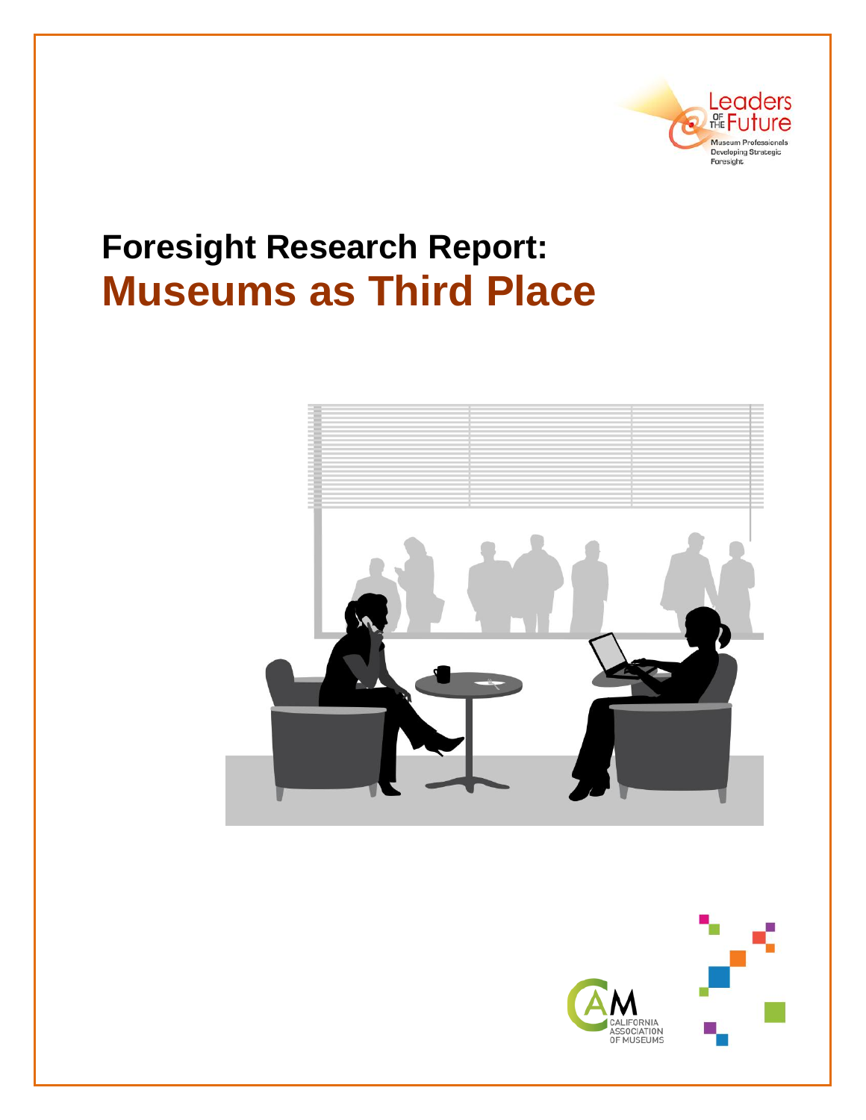

# **Foresight Research Report: Museums as Third Place**



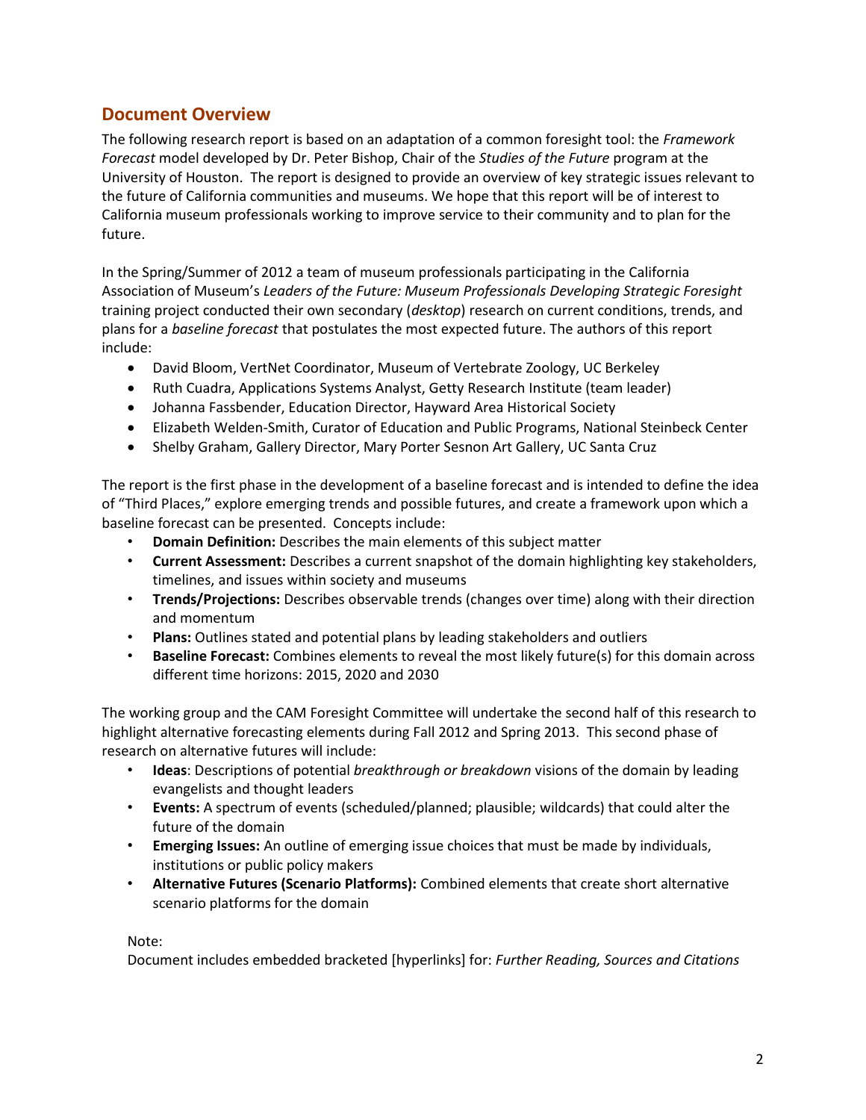# **Document Overview**

The following research report is based on an adaptation of a common foresight tool: the *Framework Forecast* model developed by Dr. Peter Bishop, Chair of the *Studies of the Future* program at the University of Houston. The report is designed to provide an overview of key strategic issues relevant to the future of California communities and museums. We hope that this report will be of interest to California museum professionals working to improve service to their community and to plan for the future.

In the Spring/Summer of 2012 a team of museum professionals participating in the California Association of Museum's *Leaders of the Future: Museum Professionals Developing Strategic Foresight* training project conducted their own secondary (*desktop*) research on current conditions, trends, and plans for a *baseline forecast* that postulates the most expected future. The authors of this report include:

- David Bloom, VertNet Coordinator, Museum of Vertebrate Zoology, UC Berkeley
- Ruth Cuadra, Applications Systems Analyst, Getty Research Institute (team leader)
- Johanna Fassbender, Education Director, Hayward Area Historical Society
- Elizabeth Welden-Smith, Curator of Education and Public Programs, National Steinbeck Center
- Shelby Graham, Gallery Director, Mary Porter Sesnon Art Gallery, UC Santa Cruz

The report is the first phase in the development of a baseline forecast and is intended to define the idea of "Third Places," explore emerging trends and possible futures, and create a framework upon which a baseline forecast can be presented. Concepts include:

- **Domain Definition:** Describes the main elements of this subject matter
- **Current Assessment:** Describes a current snapshot of the domain highlighting key stakeholders, timelines, and issues within society and museums
- **Trends/Projections:** Describes observable trends (changes over time) along with their direction and momentum
- **Plans:** Outlines stated and potential plans by leading stakeholders and outliers
- **Baseline Forecast:** Combines elements to reveal the most likely future(s) for this domain across different time horizons: 2015, 2020 and 2030

The working group and the CAM Foresight Committee will undertake the second half of this research to highlight alternative forecasting elements during Fall 2012 and Spring 2013. This second phase of research on alternative futures will include:

- **Ideas**: Descriptions of potential *breakthrough or breakdown* visions of the domain by leading evangelists and thought leaders
- **Events:** A spectrum of events (scheduled/planned; plausible; wildcards) that could alter the future of the domain
- **Emerging Issues:** An outline of emerging issue choices that must be made by individuals, institutions or public policy makers
- **Alternative Futures (Scenario Platforms):** Combined elements that create short alternative scenario platforms for the domain

#### Note:

Document includes embedded bracketed [hyperlinks] for: *Further Reading, Sources and Citations*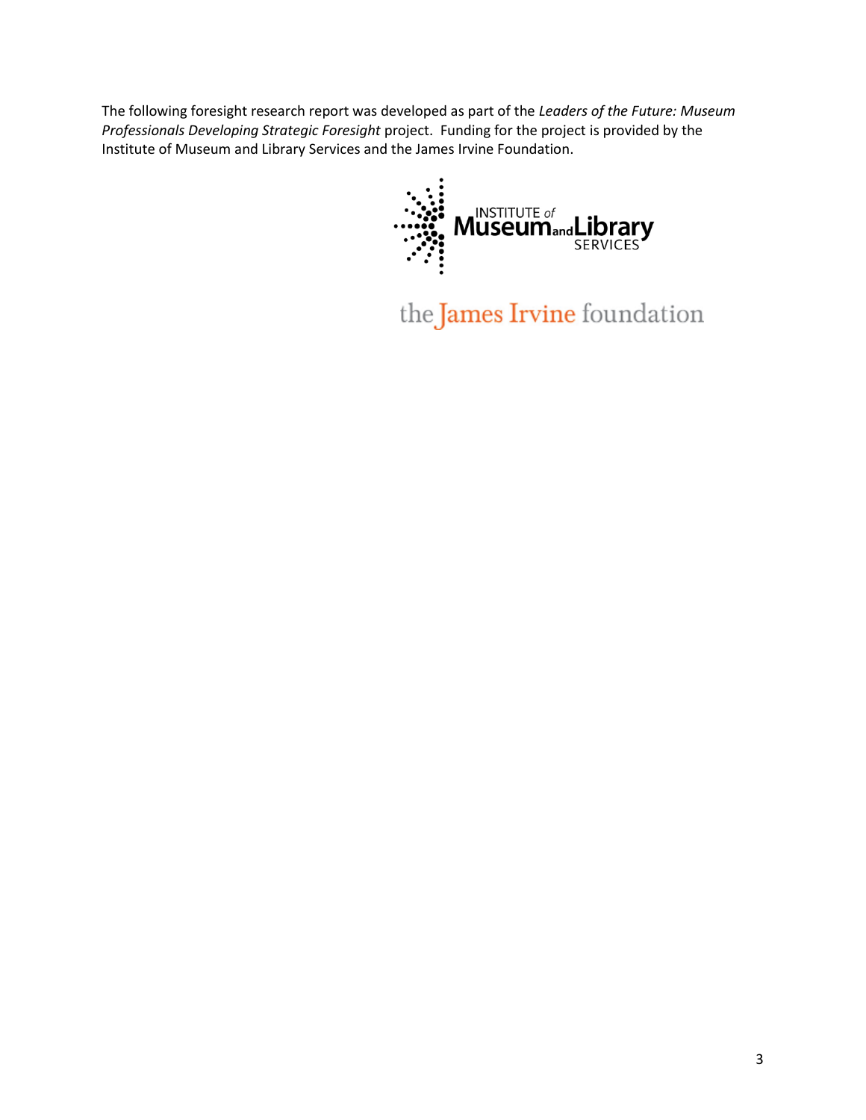The following foresight research report was developed as part of the *Leaders of the Future: Museum Professionals Developing Strategic Foresight* project. Funding for the project is provided by the Institute of Museum and Library Services and the James Irvine Foundation.



the James Irvine foundation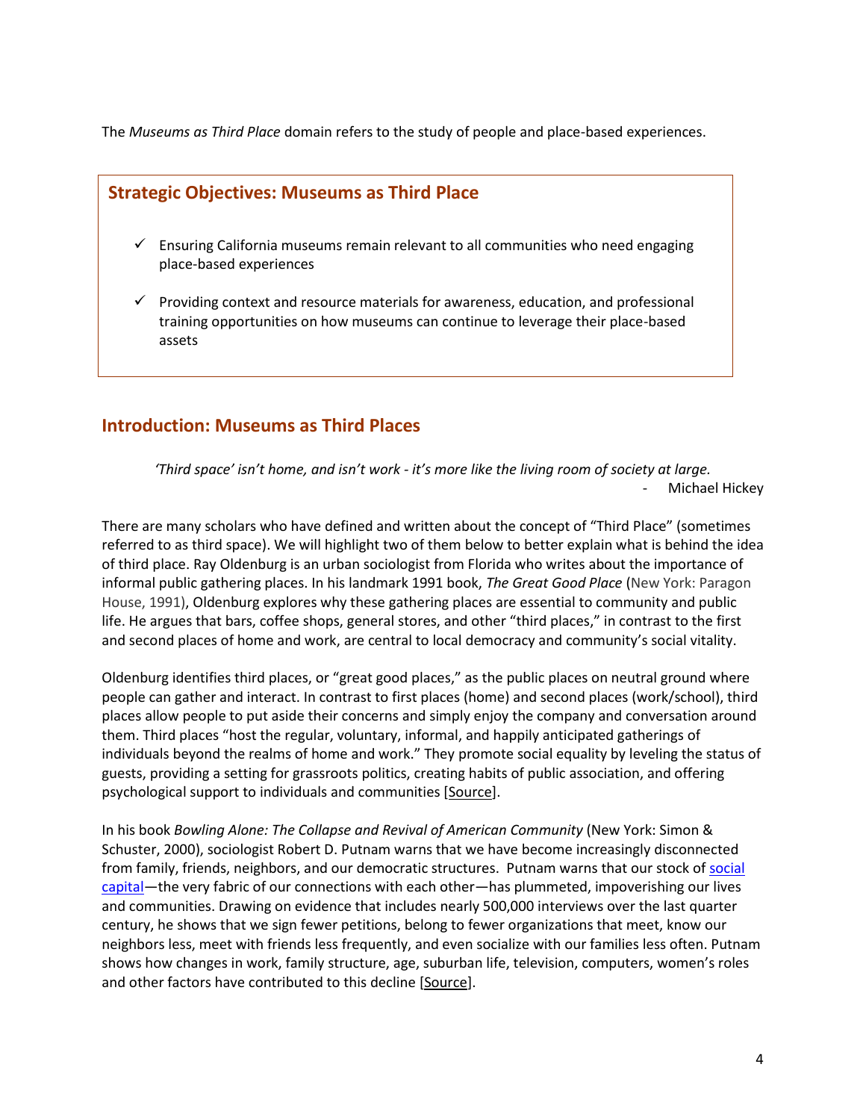The *Museums as Third Place* domain refers to the study of people and place-based experiences.



- $\checkmark$  Ensuring California museums remain relevant to all communities who need engaging place-based experiences
- $\checkmark$  Providing context and resource materials for awareness, education, and professional training opportunities on how museums can continue to leverage their place-based assets

# **Introduction: Museums as Third Places**

*'Third space' isn't home, and isn't work - it's more like the living room of society at large.* Michael Hickey

There are many scholars who have defined and written about the concept of "Third Place" (sometimes referred to as third space). We will highlight two of them below to better explain what is behind the idea of third place. Ray Oldenburg is an urban sociologist from Florida who writes about the importance of informal public gathering places. In his landmark 1991 book, *The Great Good Place* (New York: Paragon House, 1991), Oldenburg explores why these gathering places are essential to community and public life. He argues that bars, coffee shops, general stores, and other "third places," in contrast to the first and second places of home and work, are central to local democracy and community's social vitality.

Oldenburg identifies third places, or "great good places," as the public places on neutral ground where people can gather and interact. In contrast to first places (home) and second places (work/school), third places allow people to put aside their concerns and simply enjoy the company and conversation around them. Third places "host the regular, voluntary, informal, and happily anticipated gatherings of individuals beyond the realms of home and work." They promote social equality by leveling the status of guests, providing a setting for grassroots politics, creating habits of public association, and offering psychological support to individuals and communities [\[Source\]](http://www.pps.org/).

In his book *Bowling Alone: The Collapse and Revival of American Community* (New York: Simon & Schuster, 2000), sociologist Robert D. Putnam warns that we have become increasingly disconnected from family, friends, neighbors, and our democratic structures. Putnam warns that our stock of [social](http://bowlingalone.com/?page_id=13)  [capital](http://bowlingalone.com/?page_id=13)—the very fabric of our connections with each other—has plummeted, impoverishing our lives and communities. Drawing on evidence that includes nearly 500,000 interviews over the last quarter century, he shows that we sign fewer petitions, belong to fewer organizations that meet, know our neighbors less, meet with friends less frequently, and even socialize with our families less often. Putnam shows how changes in work, family structure, age, suburban life, television, computers, women's roles and other factors have contributed to this decline [\[Source\]](http://bowlingalone.com/).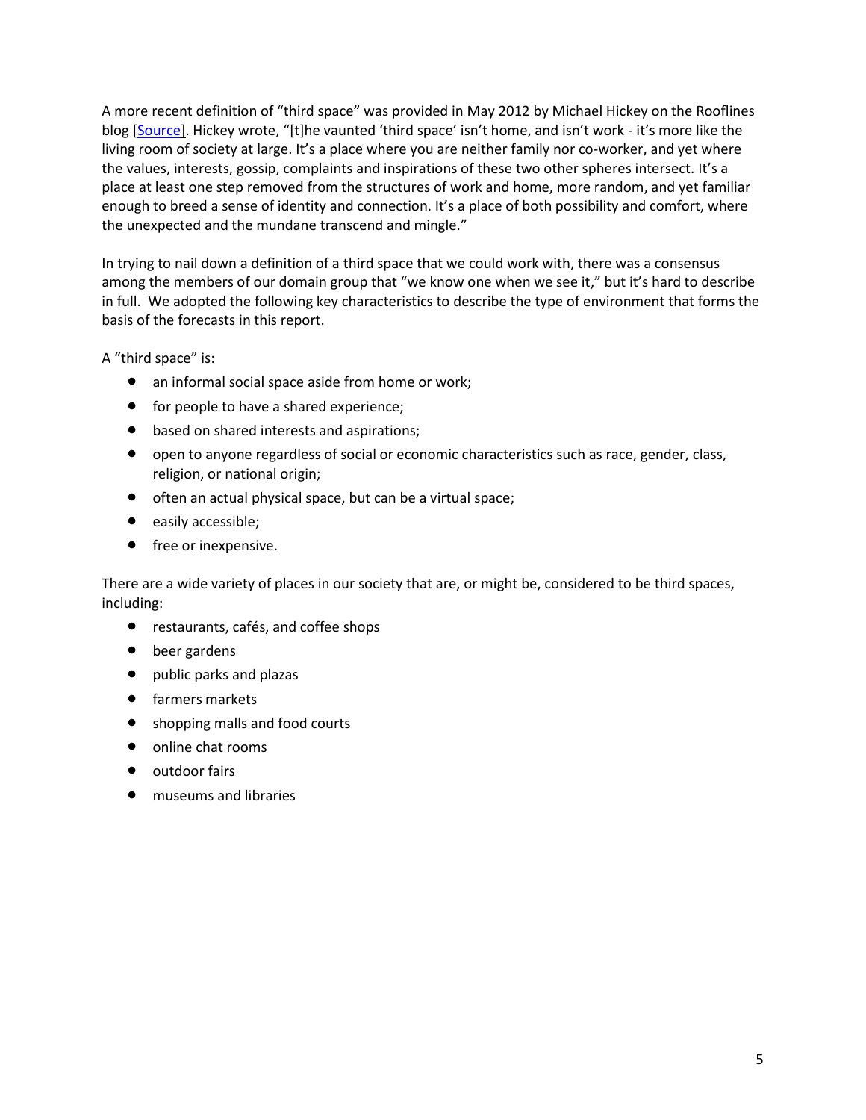A more recent definition of "third space" was provided in May 2012 by Michael Hickey on the Rooflines blog [\[Source\]](http://www.rooflines.org/members/2445/). Hickey wrote, "[t]he vaunted 'third space' isn't home, and isn't work - it's more like the living room of society at large. It's a place where you are neither family nor co-worker, and yet where the values, interests, gossip, complaints and inspirations of these two other spheres intersect. It's a place at least one step removed from the structures of work and home, more random, and yet familiar enough to breed a sense of identity and connection. It's a place of both possibility and comfort, where the unexpected and the mundane transcend and mingle."

In trying to nail down a definition of a third space that we could work with, there was a consensus among the members of our domain group that "we know one when we see it," but it's hard to describe in full. We adopted the following key characteristics to describe the type of environment that forms the basis of the forecasts in this report.

A "third space" is:

- an informal social space aside from home or work;
- for people to have a shared experience;
- **•** based on shared interests and aspirations;
- open to anyone regardless of social or economic characteristics such as race, gender, class, religion, or national origin;
- often an actual physical space, but can be a virtual space;
- easily accessible;
- free or inexpensive.

There are a wide variety of places in our society that are, or might be, considered to be third spaces, including:

- restaurants, cafés, and coffee shops
- beer gardens
- public parks and plazas
- **•** farmers markets
- shopping malls and food courts
- online chat rooms
- outdoor fairs
- museums and libraries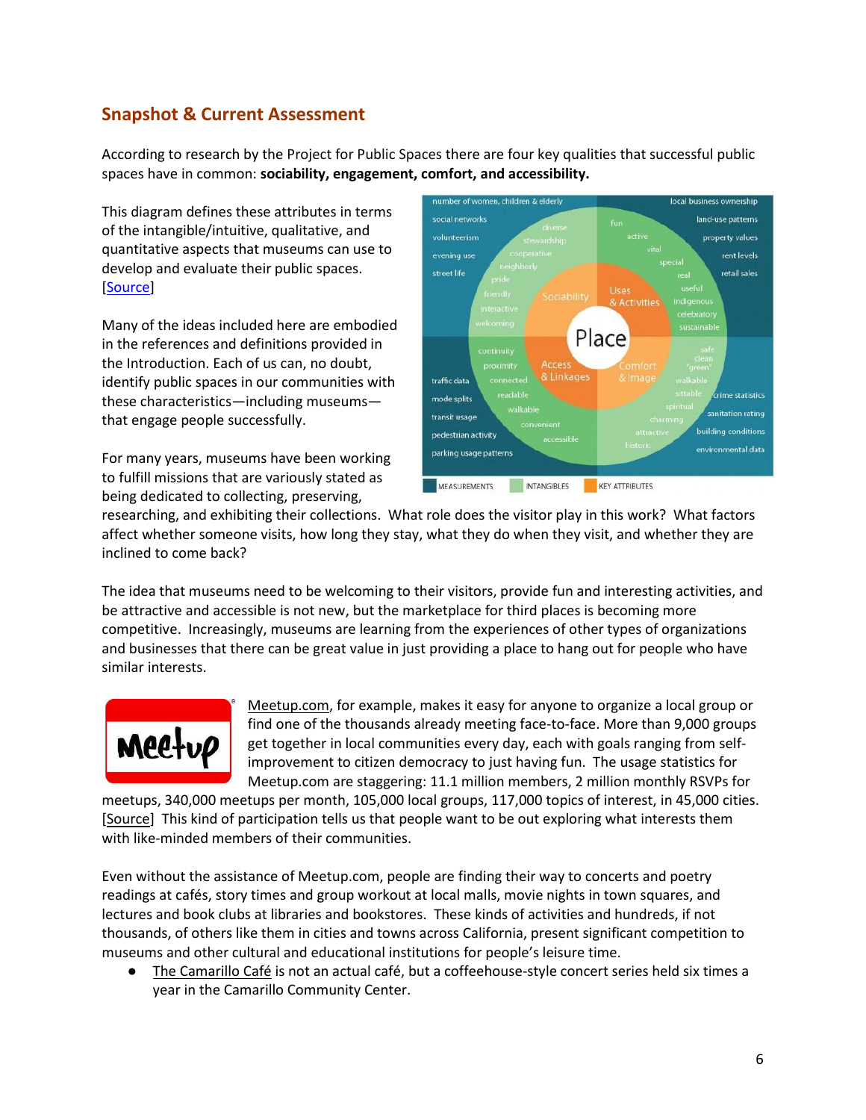# **Snapshot & Current Assessment**

According to research by the [Project for Public Spaces](http://www.pps.org/) there are four key qualities that successful public spaces have in common: **sociability, engagement, comfort, and accessibility.**

This diagram defines these attributes in terms of the intangible/intuitive, qualitative, and quantitative aspects that museums can use to develop and evaluate their public spaces. [\[Source\]](http://www.pps.org/reference/grplacefeat/)

Many of the ideas included here are embodied in the references and definitions provided in the Introduction. Each of us can, no doubt, identify public spaces in our communities with these characteristics—including museums that engage people successfully.

For many years, museums have been working to fulfill missions that are variously stated as being dedicated to collecting, preserving,



researching, and exhibiting their collections. What role does the visitor play in this work? What factors affect whether someone visits, how long they stay, what they do when they visit, and whether they are inclined to come back?

The idea that museums need to be welcoming to their visitors, provide fun and interesting activities, and be attractive and accessible is not new, but the marketplace for third places is becoming more competitive. Increasingly, museums are learning from the experiences of other types of organizations and businesses that there can be great value in just providing a place to hang out for people who have similar interests.



[Meetup.com,](http://www.meetup.com/) for example, makes it easy for anyone to organize a local group or find one of the thousands already meeting face-to-face. More than 9,000 groups get together in local communities every day, each with goals ranging from selfimprovement to citizen democracy to just having fun. The usage statistics for Meetup.com are staggering: 11.1 million members, 2 million monthly RSVPs for

meetups, 340,000 meetups per month, 105,000 local groups, 117,000 topics of interest, in 45,000 cities. [\[Source\]](http://www.meetup.com/about/) This kind of participation tells us that people want to be out exploring what interests them with like-minded members of their communities.

Even without the assistance of Meetup.com, people are finding their way to concerts and poetry readings at cafés, story times and group workout at local malls, movie nights in town squares, and lectures and book clubs at libraries and bookstores. These kinds of activities and hundreds, if not thousands, of others like them in cities and towns across California, present significant competition to museums and other cultural and educational institutions for people's leisure time.

[The](http://www.camarillocafe.com/) [Camarillo](http://www.camarillocafe.com/) [Café](http://www.camarillocafe.com/) is not an actual café, but a coffeehouse-style concert series held six times a year in the Camarillo Community Center.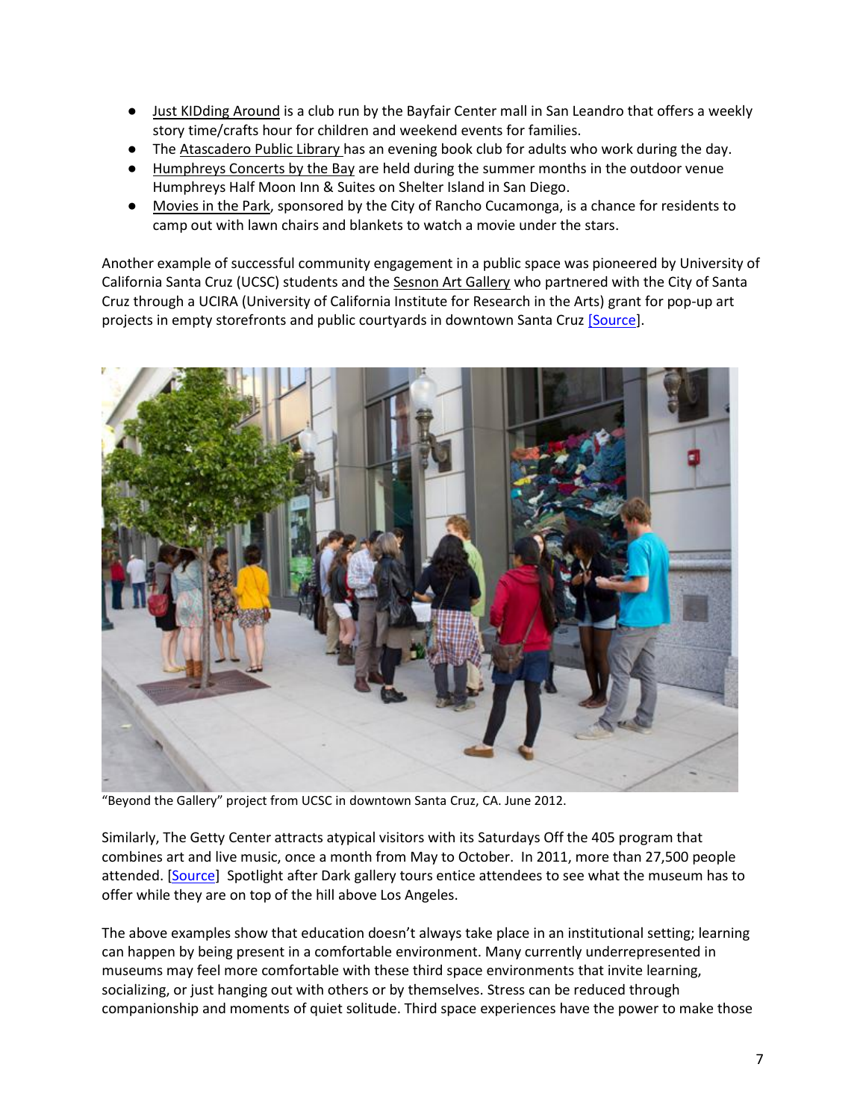- [Just](https://www.facebook.com/JustKIDdingAround) [KIDding](https://www.facebook.com/JustKIDdingAround) [Around](https://www.facebook.com/JustKIDdingAround) is a club run by the Bayfair Center mall in San Leandro that offers a weekly story time/crafts hour for children and weekend events for families.
- The [Atascadero](http://www.atascaderofriendsofthelibrary.org/programs.htm) [Public](http://www.atascaderofriendsofthelibrary.org/programs.htm) [Library](http://www.atascaderofriendsofthelibrary.org/programs.htm) has an evening book club for adults who work during the day.
- [Humphreys Concerts by the Bay](http://www.humphreysconcerts.com/) are held during the summer months in the outdoor venue Humphreys Half Moon Inn & Suites on Shelter Island in San Diego.
- [Movies](http://www.cityofrc.us/cityhall/cs/events/summermovies/default.asp) [in](http://www.cityofrc.us/cityhall/cs/events/summermovies/default.asp) [the](http://www.cityofrc.us/cityhall/cs/events/summermovies/default.asp) [Park,](http://www.cityofrc.us/cityhall/cs/events/summermovies/default.asp) sponsored by the City of Rancho Cucamonga, is a chance for residents to camp out with lawn chairs and blankets to watch a movie under the stars.

Another example of successful community engagement in a public space was pioneered by University of California Santa Cruz (UCSC) students and the [Sesnon Art Gallery](http://art.ucsc.edu/galleries/sesnon/current) who partnered with the City of Santa Cruz through a UCIRA (University of California Institute for Research in the Arts) grant for pop-up art projects in empty storefronts and public courtyards in downtown Santa Cruz [\[Source\]](http://art.ucsc.edu/galleries/beyond-gallery).



"Beyond the Gallery" project from UCSC in downtown Santa Cruz, CA. June 2012.

Similarly, The Getty Center attracts atypical visitors with its Saturdays Off the 405 program that combines art and live music, once a month from May to October. In 2011, more than 27,500 people attended. [\[Source\]](http://blogs.getty.edu/iris/?s=saturdays+off+the+405) Spotlight after Dark gallery tours entice attendees to see what the museum has to offer while they are on top of the hill above Los Angeles.

The above examples show that education doesn't always take place in an institutional setting; learning can happen by being present in a comfortable environment. Many currently underrepresented in museums may feel more comfortable with these third space environments that invite learning, socializing, or just hanging out with others or by themselves. Stress can be reduced through companionship and moments of quiet solitude. Third space experiences have the power to make those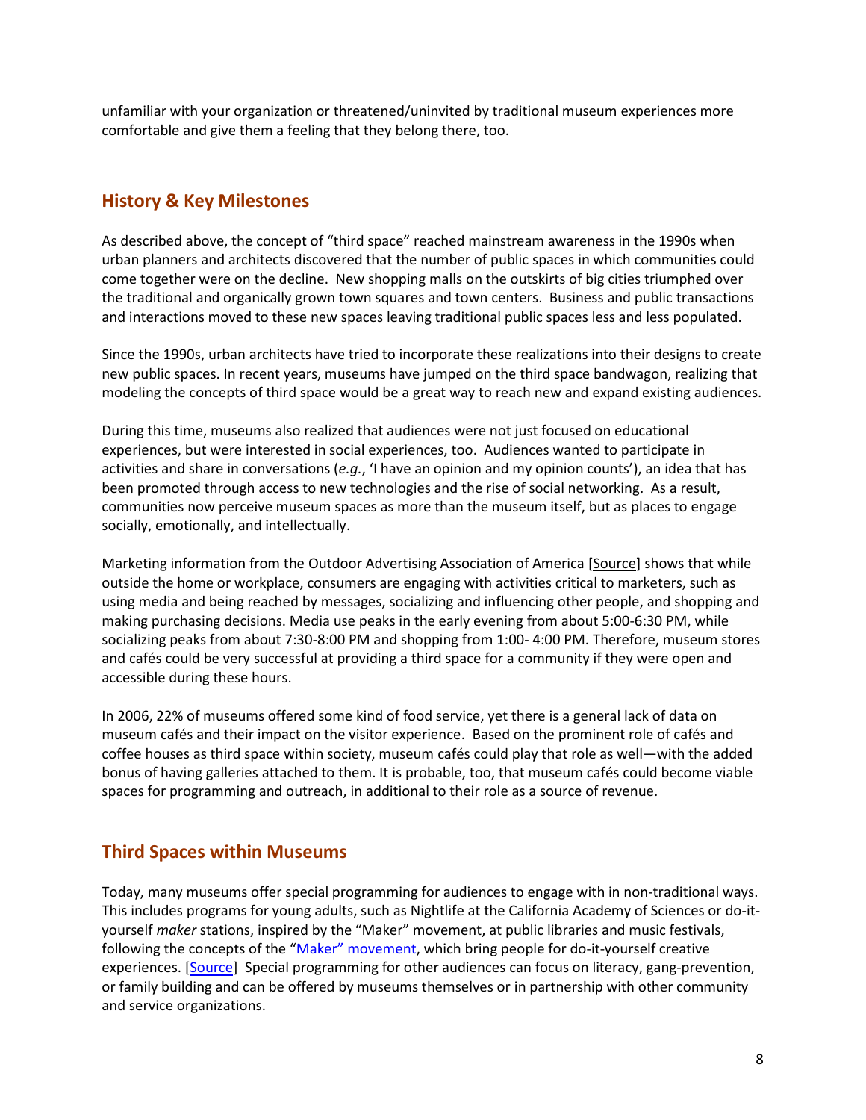unfamiliar with your organization or threatened/uninvited by traditional museum experiences more comfortable and give them a feeling that they belong there, too.

## **History & Key Milestones**

As described above, the concept of "third space" reached mainstream awareness in the 1990s when urban planners and architects discovered that the number of public spaces in which communities could come together were on the decline. New shopping malls on the outskirts of big cities triumphed over the traditional and organically grown town squares and town centers. Business and public transactions and interactions moved to these new spaces leaving traditional public spaces less and less populated.

Since the 1990s, urban architects have tried to incorporate these realizations into their designs to create new public spaces. In recent years, museums have jumped on the third space bandwagon, realizing that modeling the concepts of third space would be a great way to reach new and expand existing audiences.

During this time, museums also realized that audiences were not just focused on educational experiences, but were interested in social experiences, too. Audiences wanted to participate in activities and share in conversations (*e.g.*, 'I have an opinion and my opinion counts'), an idea that has been promoted through access to new technologies and the rise of social networking. As a result, communities now perceive museum spaces as more than the museum itself, but as places to engage socially, emotionally, and intellectually.

Marketing information from the Outdoor Advertising Association of America [\[Source\]](http://www.marketingcharts.com/interactive/retail-holds-13-share-of-consumers-time-away-from-homework-22035/) shows that while outside the home or workplace, consumers are engaging with activities critical to marketers, such as using media and being reached by messages, socializing and influencing other people, and shopping and making purchasing decisions. Media use peaks in the early evening from about 5:00-6:30 PM, while socializing peaks from about 7:30-8:00 PM and shopping from 1:00- 4:00 PM. Therefore, museum stores and cafés could be very successful at providing a third space for a community if they were open and accessible during these hours.

In 2006, 22% of museums offered some kind of food service, yet there is a general lack of data on museum cafés and their impact on the visitor experience. Based on the prominent role of cafés and coffee houses as third space within society, museum cafés could play that role as well—with the added bonus of having galleries attached to them. It is probable, too, that museum cafés could become viable spaces for programming and outreach, in additional to their role as a source of revenue.

# **Third Spaces within Museums**

Today, many museums offer special programming for audiences to engage with in non-traditional ways. This includes programs for young adults, such as Nightlife at the California Academy of Sciences or do-ityourself *maker* stations, inspired by the "Maker" movement, at public libraries and music festivals, following the concepts of the ["Maker" movement](http://makezine.com/), which bring people for do-it-yourself creative experiences. [\[Source\]](http://www.npr.org/2011/12/10/143401182/libraries-make-room-for-high-tech-hackerspaces) Special programming for other audiences can focus on literacy, gang-prevention, or family building and can be offered by museums themselves or in partnership with other community and service organizations.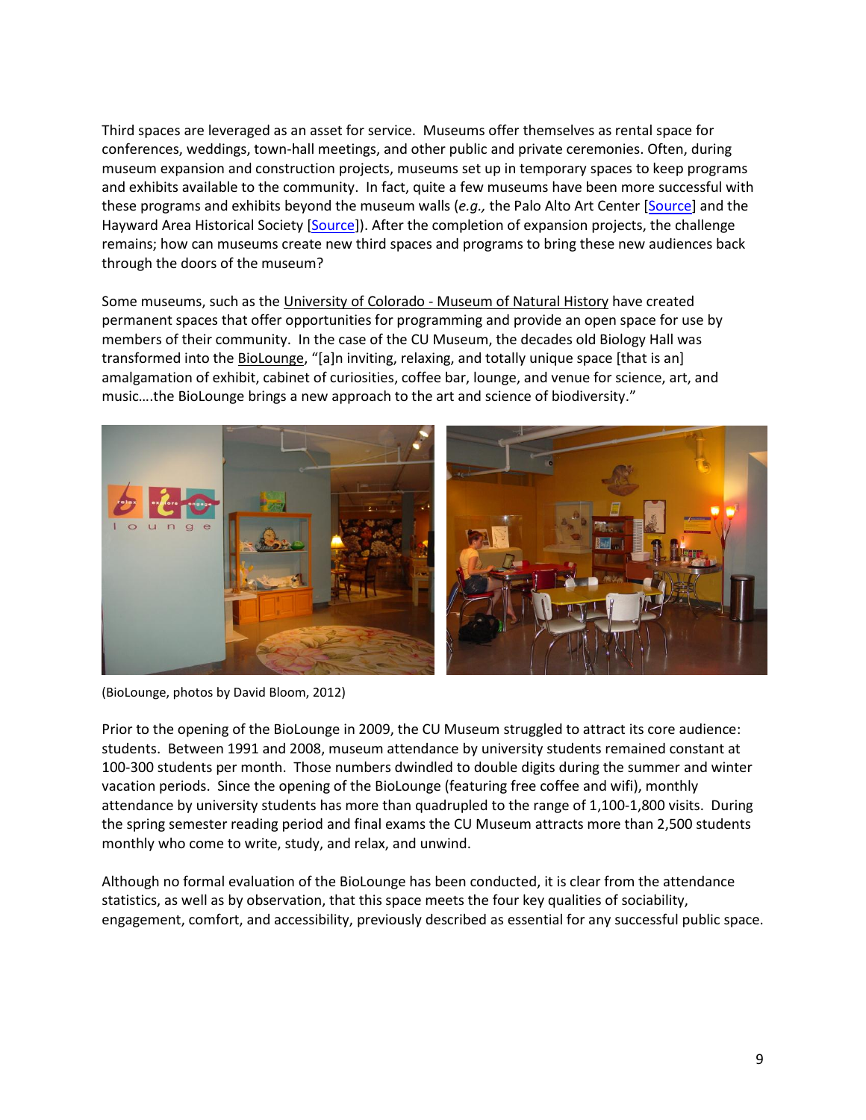Third spaces are leveraged as an asset for service. Museums offer themselves as rental space for conferences, weddings, town-hall meetings, and other public and private ceremonies. Often, during museum expansion and construction projects, museums set up in temporary spaces to keep programs and exhibits available to the community. In fact, quite a few museums have been more successful with these programs and exhibits beyond the museum walls (*e.g.,* the Palo Alto Art Center [\[Source\]](http://www.cityofpaloalto.org/gov/depts/csd/artcenter/default.asp) and the Hayward Area Historical Society [\[Source\]](http://www.haywardareahistory.org/)). After the completion of expansion projects, the challenge remains; how can museums create new third spaces and programs to bring these new audiences back through the doors of the museum?

Some museums, such as the University of Colorado - [Museum of Natural History](http://cumuseum.colorado.edu/) have created permanent spaces that offer opportunities for programming and provide an open space for use by members of their community. In the case of the CU Museum, the decades old Biology Hall was transformed into the [BioLounge,](http://cumuseum.colorado.edu/Exhibits/BioLounge/) "[a]n inviting, relaxing, and totally unique space [that is an] amalgamation of exhibit, cabinet of curiosities, coffee bar, lounge, and venue for science, art, and music….the BioLounge brings a new approach to the art and science of biodiversity."



(BioLounge, photos by David Bloom, 2012)

Prior to the opening of the BioLounge in 2009, the CU Museum struggled to attract its core audience: students. Between 1991 and 2008, museum attendance by university students remained constant at 100-300 students per month. Those numbers dwindled to double digits during the summer and winter vacation periods. Since the opening of the BioLounge (featuring free coffee and wifi), monthly attendance by university students has more than quadrupled to the range of 1,100-1,800 visits. During the spring semester reading period and final exams the CU Museum attracts more than 2,500 students monthly who come to write, study, and relax, and unwind.

Although no formal evaluation of the BioLounge has been conducted, it is clear from the attendance statistics, as well as by observation, that this space meets the four key qualities of sociability, engagement, comfort, and accessibility, previously described as essential for any successful public space.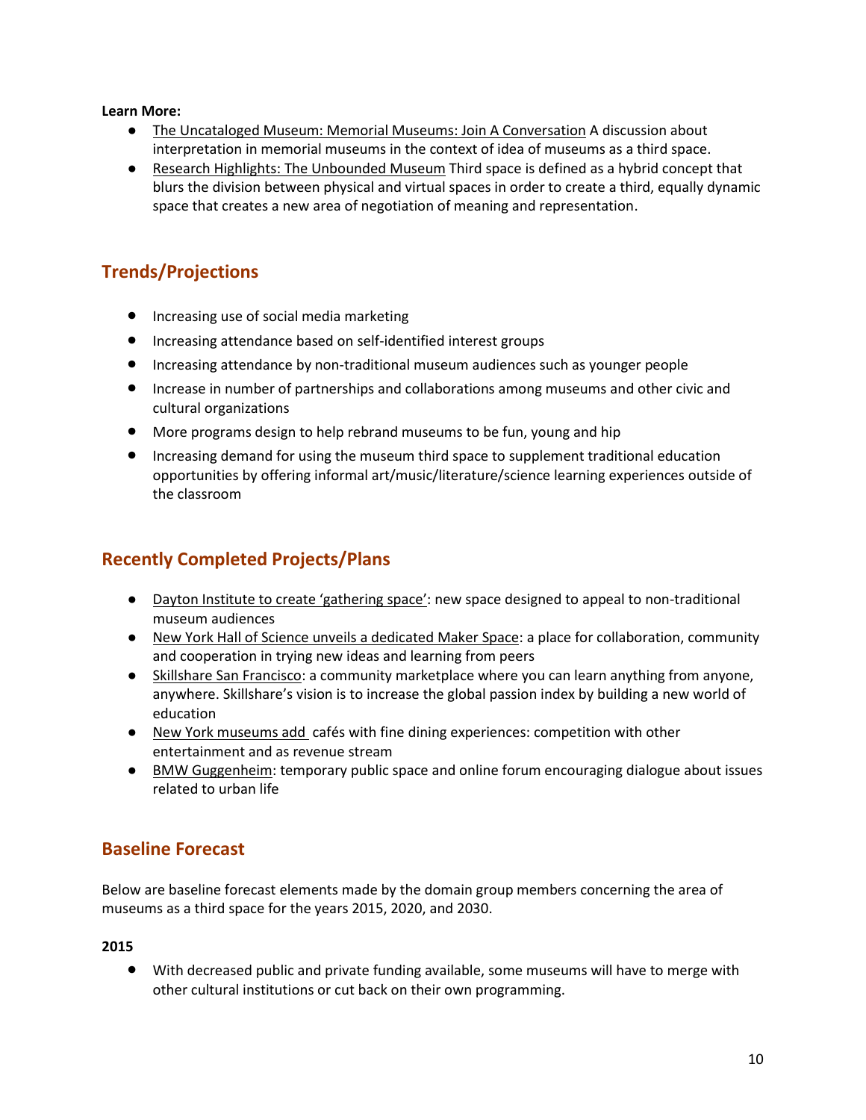#### **Learn More:**

- [The](http://uncatalogedmuseum.blogspot.com/2012/04/memorials-memorial-museums-join.html) [Uncataloged](http://uncatalogedmuseum.blogspot.com/2012/04/memorials-memorial-museums-join.html) [Museum: Memorial](http://uncatalogedmuseum.blogspot.com/2012/04/memorials-memorial-museums-join.html) [Museums: Join](http://uncatalogedmuseum.blogspot.com/2012/04/memorials-memorial-museums-join.html) [A](http://uncatalogedmuseum.blogspot.com/2012/04/memorials-memorial-museums-join.html) [Conversation](http://uncatalogedmuseum.blogspot.com/2012/04/memorials-memorial-museums-join.html) A discussion about interpretation in memorial museums in the context of idea of museums as a third space.
- [Research](http://emergingprofessionals.wordpress.com/2012/03/20/research-highlights-the-unbounded-museum) [Highlights: The](http://emergingprofessionals.wordpress.com/2012/03/20/research-highlights-the-unbounded-museum) [Unbounded](http://emergingprofessionals.wordpress.com/2012/03/20/research-highlights-the-unbounded-museum) [Museum](http://emergingprofessionals.wordpress.com/2012/03/20/research-highlights-the-unbounded-museum) Third space is defined as a hybrid concept that blurs the division between physical and virtual spaces in order to create a third, equally dynamic space that creates a new area of negotiation of meaning and representation.

# **Trends/Projections**

- **•** Increasing use of social media marketing
- Increasing attendance based on self-identified interest groups
- Increasing attendance by non-traditional museum audiences such as younger people
- **Increase in number of partnerships and collaborations among museums and other civic and** cultural organizations
- More programs design to help rebrand museums to be fun, young and hip
- **•** Increasing demand for using the museum third space to supplement traditional education opportunities by offering informal art/music/literature/science learning experiences outside of the classroom

# **Recently Completed Projects/Plans**

- [Dayton](http://www.daytondailynews.com/news/dayton-news/dayton-art-institute-to-create-gathering-space-1385120.html) [Institute](http://www.daytondailynews.com/news/dayton-news/dayton-art-institute-to-create-gathering-space-1385120.html) [to](http://www.daytondailynews.com/news/dayton-news/dayton-art-institute-to-create-gathering-space-1385120.html) [create](http://www.daytondailynews.com/news/dayton-news/dayton-art-institute-to-create-gathering-space-1385120.html) ['](http://www.daytondailynews.com/news/dayton-news/dayton-art-institute-to-create-gathering-space-1385120.html)[gathering](http://www.daytondailynews.com/news/dayton-news/dayton-art-institute-to-create-gathering-space-1385120.html) [space](http://www.daytondailynews.com/news/dayton-news/dayton-art-institute-to-create-gathering-space-1385120.html)': new space designed to appeal to non-traditional museum audiences
- [New](http://www.nysci.org/learn/news/article/2100563,) [York](http://www.nysci.org/learn/news/article/2100563,) [Hall](http://www.nysci.org/learn/news/article/2100563,) [of](http://www.nysci.org/learn/news/article/2100563,) [Science](http://www.nysci.org/learn/news/article/2100563,) [unveils](http://www.nysci.org/learn/news/article/2100563,) [a](http://www.nysci.org/learn/news/article/2100563,) [dedicated](http://www.nysci.org/learn/news/article/2100563,) [Maker](http://www.nysci.org/learn/news/article/2100563,) [Space:](http://www.nysci.org/learn/news/article/2100563,) a place for collaboration, community and cooperation in trying new ideas and learning from peers
- [Skillshare](http://www.skillshare.com/) [San](http://www.skillshare.com/) [Francisco:](http://www.skillshare.com/) a community marketplace where you can learn anything from anyone, anywhere. Skillshare's vision is to increase the global passion index by building a new world of education
- [New](http://www.google.com/url?q=http%3A%2F%2Fwww.nytimes.com%2F2010%2F01%2F29%2Farts%2F29museumfood.html%3Fpagewanted%3Dall&sa=D&sntz=1&usg=AFQjCNFwhw36VqinLvo98NJP6BIwzZEsWQ) [York](http://www.google.com/url?q=http%3A%2F%2Fwww.nytimes.com%2F2010%2F01%2F29%2Farts%2F29museumfood.html%3Fpagewanted%3Dall&sa=D&sntz=1&usg=AFQjCNFwhw36VqinLvo98NJP6BIwzZEsWQ) [museums](http://www.google.com/url?q=http%3A%2F%2Fwww.nytimes.com%2F2010%2F01%2F29%2Farts%2F29museumfood.html%3Fpagewanted%3Dall&sa=D&sntz=1&usg=AFQjCNFwhw36VqinLvo98NJP6BIwzZEsWQ) [add](http://www.google.com/url?q=http%3A%2F%2Fwww.nytimes.com%2F2010%2F01%2F29%2Farts%2F29museumfood.html%3Fpagewanted%3Dall&sa=D&sntz=1&usg=AFQjCNFwhw36VqinLvo98NJP6BIwzZEsWQ) cafés with fine dining experiences: competition with other entertainment and as revenue stream
- [BMW](http://inparknews.blogspot.com/2012/06/bmw-guggenheim-lab-arrives-in-berlin.html) [Guggenheim:](http://inparknews.blogspot.com/2012/06/bmw-guggenheim-lab-arrives-in-berlin.html) temporary public space and online forum encouraging dialogue about issues related to urban life

# **Baseline Forecast**

Below are baseline forecast elements made by the domain group members concerning the area of museums as a third space for the years 2015, 2020, and 2030.

#### **2015**

 With decreased public and private funding available, some museums will have to merge with other cultural institutions or cut back on their own programming.